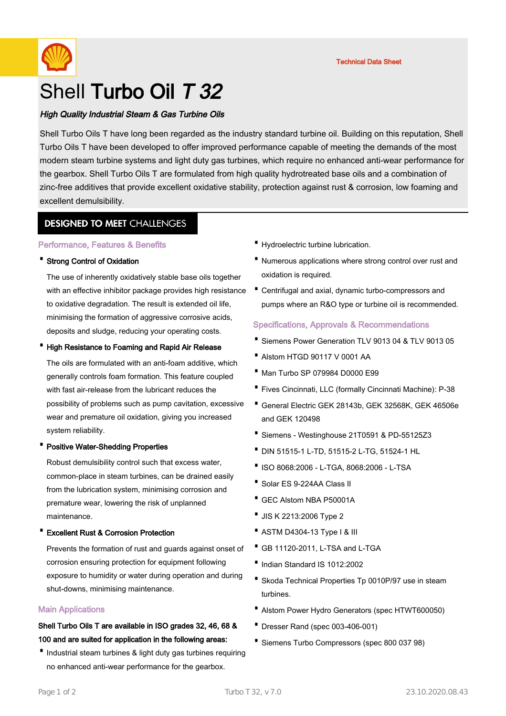

# Shell Turbo Oil T 32

# High Quality Industrial Steam & Gas Turbine Oils

Shell Turbo Oils T have long been regarded as the industry standard turbine oil. Building on this reputation, Shell Turbo Oils T have been developed to offer improved performance capable of meeting the demands of the most modern steam turbine systems and light duty gas turbines, which require no enhanced anti-wear performance for the gearbox. Shell Turbo Oils T are formulated from high quality hydrotreated base oils and a combination of zinc-free additives that provide excellent oxidative stability, protection against rust & corrosion, low foaming and excellent demulsibility.

# **DESIGNED TO MEET CHALLENGES**

## Performance, Features & Benefits

## · Strong Control of Oxidation

The use of inherently oxidatively stable base oils together The use of inherently oxidatively stable base ons together<br>with an effective inhibitor package provides high resistance • Centrifugal and axial, dynamic turbo-compressors and to oxidative degradation. The result is extended oil life, minimising the formation of aggressive corrosive acids, deposits and sludge, reducing your operating costs.

## · High Resistance to Foaming and Rapid Air Release

The oils are formulated with an anti-foam additive, which generally controls foam formation. This feature coupled with fast air-release from the lubricant reduces the possibility of problems such as pump cavitation, excessive wear and premature oil oxidation, giving you increased system reliability.

## · Positive Water-Shedding Properties

Robust demulsibility control such that excess water, common-place in steam turbines, can be drained easily from the lubrication system, minimising corrosion and premature wear, lowering the risk of unplanned maintenance.

## **Excellent Rust & Corrosion Protection**

Prevents the formation of rust and guards against onset of corrosion ensuring protection for equipment following exposure to humidity or water during operation and during shut-downs, minimising maintenance.

## Main Applications

# Shell Turbo Oils T are available in ISO grades 32, 46, 68 & 100 and are suited for application in the following areas:

Industrial steam turbines & light duty gas turbines requiring no enhanced anti-wear performance for the gearbox.

- · Hydroelectric turbine lubrication.
- Numerous applications where strong control over rust and oxidation is required.
- pumps where an R&O type or turbine oil is recommended.

## Specifications, Approvals & Recommendations

- · Siemens Power Generation TLV 9013 04 & TLV 9013 05
- · Alstom HTGD 90117 V 0001 AA
- · Man Turbo SP 079984 D0000 E99
- · Fives Cincinnati, LLC (formally Cincinnati Machine): P-38
- General Electric GEK 28143b, GEK 32568K, GEK 46506e · and GEK 120498
- · Siemens Westinghouse 21T0591 & PD-55125Z3
- · DIN 51515-1 L-TD, 51515-2 L-TG, 51524-1 HL
- ·ISO 8068:2006 L-TGA, 8068:2006 L-TSA
- · Solar ES 9-224AA Class II
- · GEC Alstom NBA P50001A
- · JIS K 2213:2006 Type 2
- · ASTM D4304-13 Type I & III
- · GB 11120-2011, L-TSA and L-TGA
- ·Indian Standard IS 1012:2002
- Skoda Technical Properties Tp 0010P/97 use in steam turbines.
- · Alstom Power Hydro Generators (spec HTWT600050)
- · Dresser Rand (spec 003-406-001)
- · Siemens Turbo Compressors (spec 800 037 98)